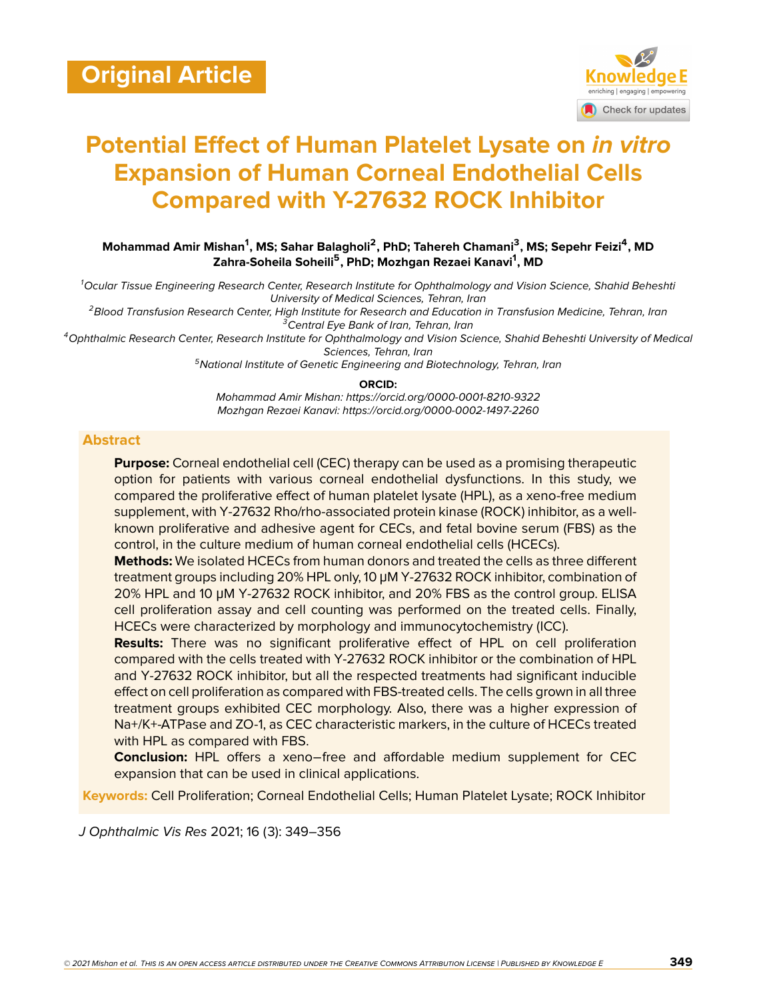

# **Potential Effect of Human Platelet Lysate on** *in vitro* **Expansion of Human Corneal Endothelial Cells Compared with Y-27632 ROCK Inhibitor**

**Mohammad Amir Mishan<sup>1</sup> , MS; Sahar Balagholi<sup>2</sup> , PhD; Tahereh Chamani<sup>3</sup> , MS; Sepehr Feizi<sup>4</sup> , MD Zahra-Soheila Soheili<sup>5</sup> , PhD; Mozhgan Rezaei Kanavi<sup>1</sup> , MD**

*<sup>1</sup>Ocular Tissue Engineering Research Center, Research Institute for Ophthalmology and Vision Science, Shahid Beheshti University of Medical Sciences, Tehran, Iran*

*<sup>2</sup>Blood Transfusion Research Center, High Institute for Research and Education in Transfusion Medicine, Tehran, Iran <sup>3</sup>Central Eye Bank of Iran, Tehran, Iran*

*<sup>4</sup>Ophthalmic Research Center, Research Institute for Ophthalmology and Vision Science, Shahid Beheshti University of Medical Sciences, Tehran, Iran*

*<sup>5</sup>National Institute of Genetic Engineering and Biotechnology, Tehran, Iran*

**ORCID:**

*Mohammad Amir Mishan: https://orcid.org/0000-0001-8210-9322 Mozhgan Rezaei Kanavi: https://orcid.org/0000-0002-1497-2260*

#### **Abstract**

**Purpose:** Corneal endothelial cell (CEC) therapy can be used as a promising therapeutic option for patients with various corneal endothelial dysfunctions. In this study, we compared the proliferative effect of human platelet lysate (HPL), as a xeno-free medium supplement, with Y-27632 Rho/rho-associated protein kinase (ROCK) inhibitor, as a wellknown proliferative and adhesive agent for CECs, and fetal bovine serum (FBS) as the control, in the culture medium of human corneal endothelial cells (HCECs).

**Methods:** We isolated HCECs from human donors and treated the cells as three different treatment groups including 20% HPL only, 10 μM Y-27632 ROCK inhibitor, combination of 20% HPL and 10 μM Y-27632 ROCK inhibitor, and 20% FBS as the control group. ELISA cell proliferation assay and cell counting was performed on the treated cells. Finally, HCECs were characterized by morphology and immunocytochemistry (ICC).

**Results:** There was no significant proliferative effect of HPL on cell proliferation compared with the cells treated with Y-27632 ROCK inhibitor or the combination of HPL and Y-27632 ROCK inhibitor, but all the respected treatments had significant inducible effect on cell proliferation as compared with FBS-treated cells. The cells grown in all three treatment groups exhibited CEC morphology. Also, there was a higher expression of Na+/K+-ATPase and ZO-1, as CEC characteristic markers, in the culture of HCECs treated with HPL as compared with FBS.

**Conclusion:** HPL offers a xeno−free and affordable medium supplement for CEC expansion that can be used in clinical applications.

**Keywords:** Cell Proliferation; Corneal Endothelial Cells; Human Platelet Lysate; ROCK Inhibitor

*J Ophthalmic Vis Res* 2021; 16 (3): 349–356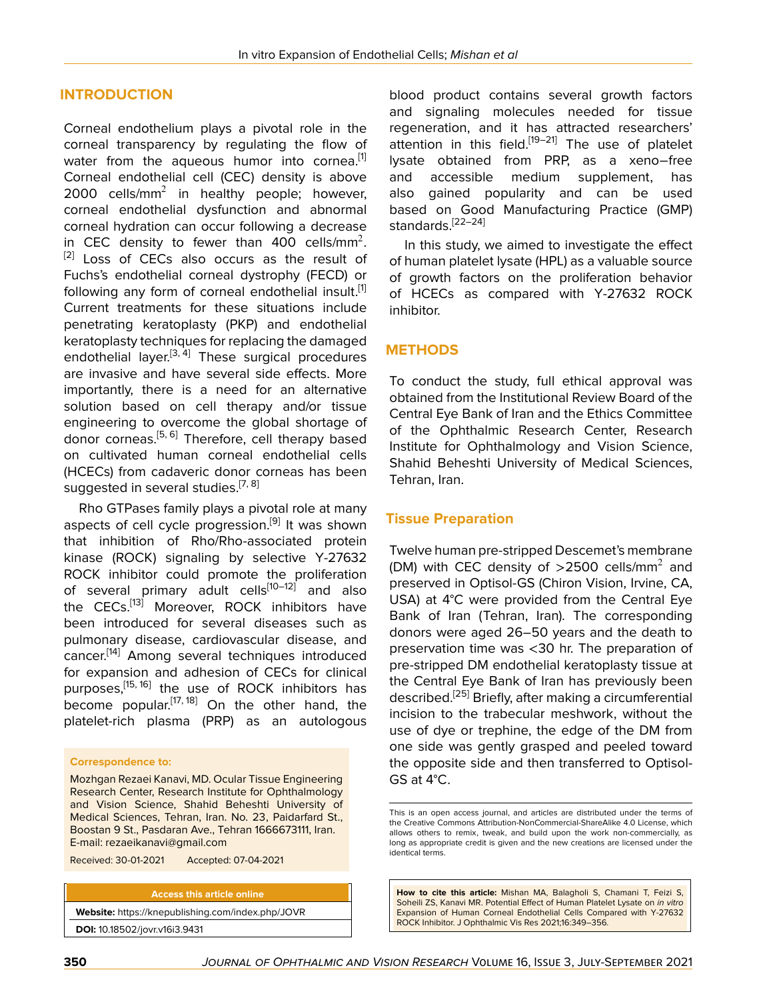#### **INTRODUCTION**

Corneal endothelium plays a pivotal role in the corneal transparency by regulating the flow of water from the aqueous humor into cornea.<sup>[[1](#page-6-0)]</sup> Corneal endothelial cell (CEC) density is above 2000 cells/mm<sup>2</sup> in healthy people; however, corneal endothelial dysfunction and abnormal corneal hydration can occur following a decrease in CEC density to fewer than 400 cells/mm<sup>2</sup>. [\[2\]](#page-6-1) Loss of CECs also occurs as the result of Fuchs's endothelial corneal dystrophy (FECD) or following any form of corneal endothelial insult.<sup>[[1](#page-6-0)]</sup> Current treatments for these situations include penetrating keratoplasty (PKP) and endothelial keratoplasty techniques for replacing the damaged endothelial layer.<sup>[[3,](#page-6-2) [4\]](#page-6-3)</sup> These surgical procedures are invasive and have several side effects. More importantly, there is a need for an alternative solution based on cell therapy and/or tissue engineering to overcome the global shortage of donor corneas.<sup>[\[5,](#page-6-4) [6\]](#page-6-5)</sup> Therefore, cell therapy based on cultivated human corneal endothelial cells (HCECs) from cadaveric donor corneas has been suggested in several studies.<sup>[\[7](#page-6-6), [8](#page-6-7)]</sup>

Rho GTPases family plays a pivotal role at many aspects of cell cycle progression.<sup>[[9](#page-6-8)]</sup> It was shown that inhibition of Rho/Rho-associated protein kinase (ROCK) signaling by selective Y-27632 ROCK inhibitor could promote the proliferation of several primary adult cells<sup>[[10](#page-6-9)[–12\]](#page-6-10)</sup> and also the CECs.<sup>[[13\]](#page-7-0)</sup> Moreover, ROCK inhibitors have been introduced for several diseases such as pulmonary disease, cardiovascular disease, and cancer.[\[14](#page-7-1)] Among several techniques introduced for expansion and adhesion of CECs for clinical purposes,<sup>[[15,](#page-7-2) [16\]](#page-7-3)</sup> the use of ROCK inhibitors has become popular.<sup>[\[17,](#page-7-4) [18](#page-7-5)]</sup> On the other hand, the platelet-rich plasma (PRP) as an autologous

#### **Correspondence to:**

Mozhgan Rezaei Kanavi, MD. Ocular Tissue Engineering Research Center, Research Institute for Ophthalmology and Vision Science, Shahid Beheshti University of Medical Sciences, Tehran, Iran. No. 23, Paidarfard St., Boostan 9 St., Pasdaran Ave., Tehran 1666673111, Iran. E-mail: rezaeikanavi@gmail.com

Received: 30-01-2021 Accepted: 07-04-2021

**Access this article online Website:** <https://knepublishing.com/index.php/JOVR> **DOI:** 10.18502/jovr.v16i3.9431

blood product contains several growth factors and signaling molecules needed for tissue regeneration, and it has attracted researchers' attention in this field.<sup>[[19](#page-7-6)[–21](#page-7-7)]</sup> The use of platelet lysate obtained from PRP, as a xeno−free and accessible medium supplement, has also gained popularity and can be used based on Good Manufacturing Practice (GMP) standards.[\[22](#page-7-8)–[24](#page-7-9)]

In this study, we aimed to investigate the effect of human platelet lysate (HPL) as a valuable source of growth factors on the proliferation behavior of HCECs as compared with Y-27632 ROCK inhibitor.

#### **METHODS**

To conduct the study, full ethical approval was obtained from the Institutional Review Board of the Central Eye Bank of Iran and the Ethics Committee of the Ophthalmic Research Center, Research Institute for Ophthalmology and Vision Science, Shahid Beheshti University of Medical Sciences, Tehran, Iran.

#### **Tissue Preparation**

Twelve human pre-stripped Descemet's membrane (DM) with CEC density of  $>$ 2500 cells/mm<sup>2</sup> and preserved in Optisol-GS (Chiron Vision, Irvine, CA, USA) at 4°C were provided from the Central Eye Bank of Iran (Tehran, Iran). The corresponding donors were aged 26–50 years and the death to preservation time was <30 hr. The preparation of pre-stripped DM endothelial keratoplasty tissue at the Central Eye Bank of Iran has previously been described.[[25\]](#page-7-10) Briefly, after making a circumferential incision to the trabecular meshwork, without the use of dye or trephine, the edge of the DM from one side was gently grasped and peeled toward the opposite side and then transferred to Optisol-GS at 4°C.

**How to cite this article:** Mishan MA, Balagholi S, Chamani T, Feizi S, Soheili ZS, Kanavi MR. Potential Effect of Human Platelet Lysate on *in vitro* Expansion of Human Corneal Endothelial Cells Compared with Y-27632 ROCK Inhibitor. J Ophthalmic Vis Res 2021;16:349–356.

This is an open access journal, and articles are distributed under the terms of the Creative Commons Attribution-NonCommercial-ShareAlike 4.0 License, which allows others to remix, tweak, and build upon the work non-commercially, as long as appropriate credit is given and the new creations are licensed under the identical terms.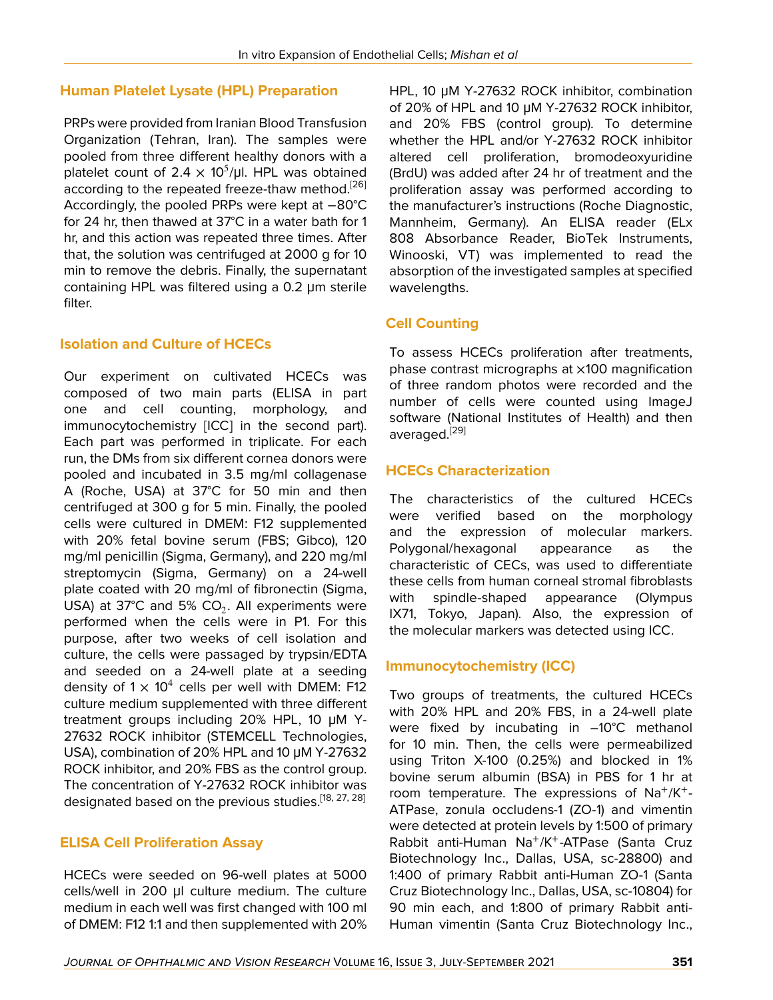#### **Human Platelet Lysate (HPL) Preparation**

PRPs were provided from Iranian Blood Transfusion Organization (Tehran, Iran). The samples were pooled from three different healthy donors with a platelet count of 2.4  $\times$  10<sup>5</sup>/µl. HPL was obtained according to the repeated freeze-thaw method.<sup>[\[26](#page-7-11)]</sup> Accordingly, the pooled PRPs were kept at −80°C for 24 hr, then thawed at 37°C in a water bath for 1 hr, and this action was repeated three times. After that, the solution was centrifuged at 2000 g for 10 min to remove the debris. Finally, the supernatant containing HPL was filtered using a 0.2 μm sterile filter.

### **Isolation and Culture of HCECs**

Our experiment on cultivated HCECs was composed of two main parts (ELISA in part one and cell counting, morphology, and immunocytochemistry [ICC] in the second part). Each part was performed in triplicate. For each run, the DMs from six different cornea donors were pooled and incubated in 3.5 mg/ml collagenase A (Roche, USA) at 37°C for 50 min and then centrifuged at 300 g for 5 min. Finally, the pooled cells were cultured in DMEM: F12 supplemented with 20% fetal bovine serum (FBS; Gibco), 120 mg/ml penicillin (Sigma, Germany), and 220 mg/ml streptomycin (Sigma, Germany) on a 24-well plate coated with 20 mg/ml of fibronectin (Sigma, USA) at 37°C and 5% CO<sub>2</sub>. All experiments were performed when the cells were in P1. For this purpose, after two weeks of cell isolation and culture, the cells were passaged by trypsin/EDTA and seeded on a 24-well plate at a seeding density of  $1 \times 10^4$  cells per well with DMEM: F12 culture medium supplemented with three different treatment groups including 20% HPL, 10 μM Y-27632 ROCK inhibitor (STEMCELL Technologies, USA), combination of 20% HPL and 10 μM Y-27632 ROCK inhibitor, and 20% FBS as the control group. The concentration of Y-27632 ROCK inhibitor was designated based on the previous studies.<sup>[[18,](#page-7-5) [27,](#page-7-12) [28\]](#page-7-13)</sup>

#### **ELISA Cell Proliferation Assay**

HCECs were seeded on 96-well plates at 5000 cells/well in 200 μl culture medium. The culture medium in each well was first changed with 100 ml of DMEM: F12 1:1 and then supplemented with 20%

HPL, 10 μM Y-27632 ROCK inhibitor, combination of 20% of HPL and 10 μM Y-27632 ROCK inhibitor, and 20% FBS (control group). To determine whether the HPL and/or Y-27632 ROCK inhibitor altered cell proliferation, bromodeoxyuridine (BrdU) was added after 24 hr of treatment and the proliferation assay was performed according to the manufacturer's instructions (Roche Diagnostic, Mannheim, Germany). An ELISA reader (ELx 808 Absorbance Reader, BioTek Instruments, Winooski, VT) was implemented to read the absorption of the investigated samples at specified wavelengths.

### **Cell Counting**

To assess HCECs proliferation after treatments, phase contrast micrographs at ×100 magnification of three random photos were recorded and the number of cells were counted using ImageJ software (National Institutes of Health) and then averaged.[\[29](#page-7-14)]

#### **HCECs Characterization**

The characteristics of the cultured HCECs were verified based on the morphology and the expression of molecular markers. Polygonal/hexagonal appearance as the characteristic of CECs, was used to differentiate these cells from human corneal stromal fibroblasts with spindle-shaped appearance (Olympus IX71, Tokyo, Japan). Also, the expression of the molecular markers was detected using ICC.

#### **Immunocytochemistry (ICC)**

Two groups of treatments, the cultured HCECs with 20% HPL and 20% FBS, in a 24-well plate were fixed by incubating in –10°C methanol for 10 min. Then, the cells were permeabilized using Triton X-100 (0.25%) and blocked in 1% bovine serum albumin (BSA) in PBS for 1 hr at room temperature. The expressions of  $Na^+/K^+$ -ATPase, zonula occludens-1 (ZO-1) and vimentin were detected at protein levels by 1:500 of primary Rabbit anti-Human Na<sup>+</sup>/K<sup>+</sup>-ATPase (Santa Cruz Biotechnology Inc., Dallas, USA, sc-28800) and 1:400 of primary Rabbit anti-Human ZO-1 (Santa Cruz Biotechnology Inc., Dallas, USA, sc-10804) for 90 min each, and 1:800 of primary Rabbit anti-Human vimentin (Santa Cruz Biotechnology Inc.,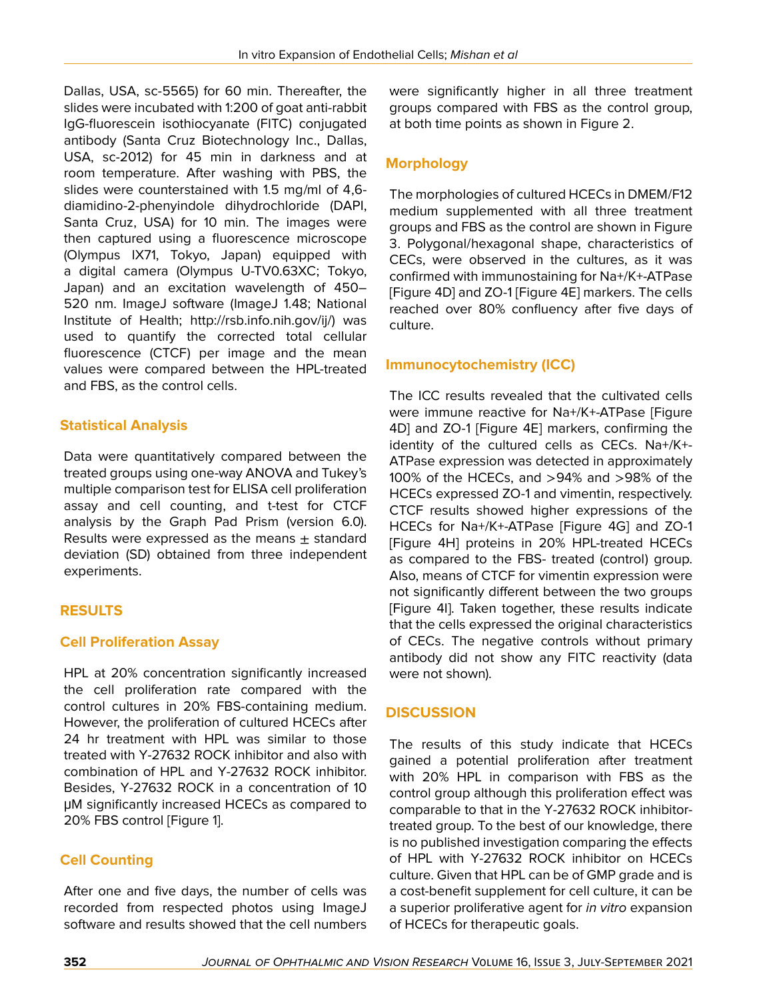Dallas, USA, sc-5565) for 60 min. Thereafter, the slides were incubated with 1:200 of goat anti-rabbit IgG-fluorescein isothiocyanate (FITC) conjugated antibody (Santa Cruz Biotechnology Inc., Dallas, USA, sc-2012) for 45 min in darkness and at room temperature. After washing with PBS, the slides were counterstained with 1.5 mg/ml of 4,6 diamidino-2-phenyindole dihydrochloride (DAPI, Santa Cruz, USA) for 10 min. The images were then captured using a fluorescence microscope (Olympus IX71, Tokyo, Japan) equipped with a digital camera (Olympus U-TV0.63XC; Tokyo, Japan) and an excitation wavelength of 450– 520 nm. ImageJ software (ImageJ 1.48; National Institute of Health; [http://rsb.info.nih.gov/ij/\)](http://rsb.info.nih.gov/ij/) was used to quantify the corrected total cellular fluorescence (CTCF) per image and the mean values were compared between the HPL-treated and FBS, as the control cells.

# **Statistical Analysis**

Data were quantitatively compared between the treated groups using one-way ANOVA and Tukey's multiple comparison test for ELISA cell proliferation assay and cell counting, and t-test for CTCF analysis by the Graph Pad Prism (version 6.0). Results were expressed as the means  $\pm$  standard deviation (SD) obtained from three independent experiments.

# **RESULTS**

# **Cell Proliferation Assay**

HPL at 20% concentration significantly increased the cell proliferation rate compared with the control cultures in 20% FBS-containing medium. However, the proliferation of cultured HCECs after 24 hr treatment with HPL was similar to those treated with Y-27632 ROCK inhibitor and also with combination of HPL and Y-27632 ROCK inhibitor. Besides, Y-27632 ROCK in a concentration of 10 μM significantly increased HCECs as compared to 20% FBS control [Figure 1].

# **Cell Counting**

After one and five days, the number of cells was recorded from respected photos using ImageJ software and results showed that the cell numbers

were significantly higher in all three treatment groups compared with FBS as the control group, at both time points as shown in Figure 2.

# **Morphology**

The morphologies of cultured HCECs in DMEM/F12 medium supplemented with all three treatment groups and FBS as the control are shown in Figure 3. Polygonal/hexagonal shape, characteristics of CECs, were observed in the cultures, as it was confirmed with immunostaining for Na+/K+-ATPase [Figure 4D] and ZO-1 [Figure 4E] markers. The cells reached over 80% confluency after five days of culture.

### **Immunocytochemistry (ICC)**

The ICC results revealed that the cultivated cells were immune reactive for Na+/K+-ATPase [Figure 4D] and ZO-1 [Figure 4E] markers, confirming the identity of the cultured cells as CECs. Na+/K+- ATPase expression was detected in approximately 100% of the HCECs, and >94% and >98% of the HCECs expressed ZO-1 and vimentin, respectively. CTCF results showed higher expressions of the HCECs for Na+/K+-ATPase [Figure 4G] and ZO-1 [Figure 4H] proteins in 20% HPL-treated HCECs as compared to the FBS- treated (control) group. Also, means of CTCF for vimentin expression were not significantly different between the two groups [Figure 4I]. Taken together, these results indicate that the cells expressed the original characteristics of CECs. The negative controls without primary antibody did not show any FITC reactivity (data were not shown).

# **DISCUSSION**

The results of this study indicate that HCECs gained a potential proliferation after treatment with 20% HPL in comparison with FBS as the control group although this proliferation effect was comparable to that in the Y-27632 ROCK inhibitortreated group. To the best of our knowledge, there is no published investigation comparing the effects of HPL with Y-27632 ROCK inhibitor on HCECs culture. Given that HPL can be of GMP grade and is a cost-benefit supplement for cell culture, it can be a superior proliferative agent for *in vitro* expansion of HCECs for therapeutic goals.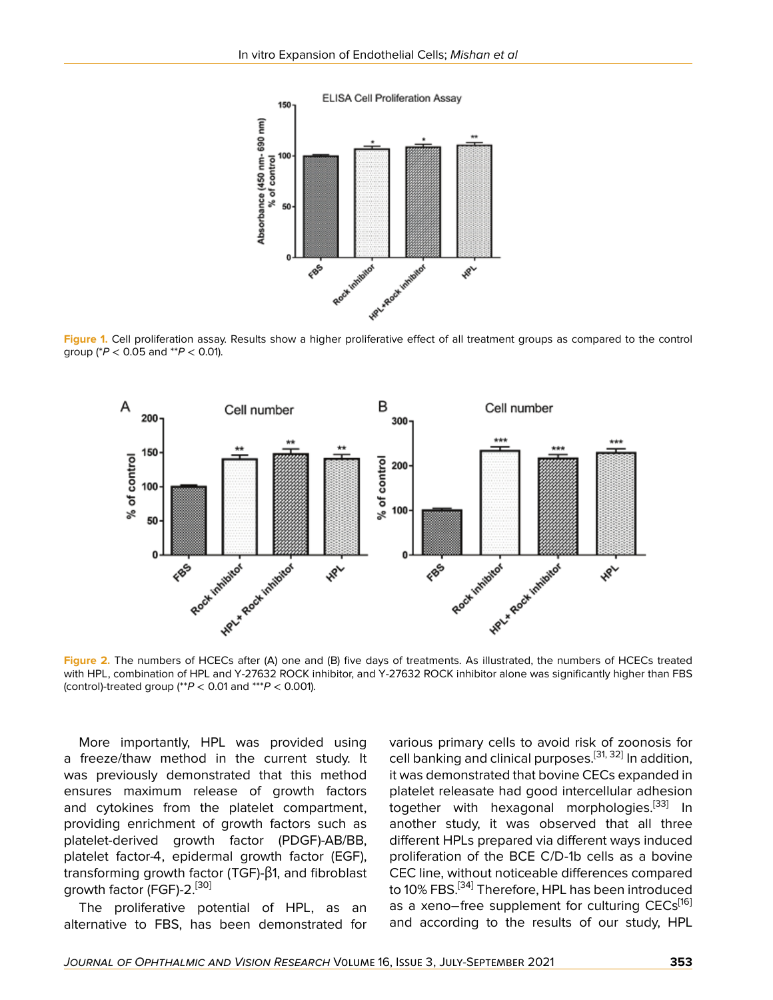

**Figure 1.** Cell proliferation assay. Results show a higher proliferative effect of all treatment groups as compared to the control group (\**P* < 0.05 and \*\**P* < 0.01).



with HPL, combination of HPL and Y-27632 ROCK inhibitor, and Y-27632 ROCK inhibitor alone was significantly higher than FBS (control)-treated group (\*\**P* < 0.01 and \*\*\**P* < 0.001).

More importantly, HPL was provided using a freeze/thaw method in the current study. It was previously demonstrated that this method ensures maximum release of growth factors and cytokines from the platelet compartment, providing enrichment of growth factors such as platelet-derived growth factor (PDGF)-AB/BB, platelet factor-4, epidermal growth factor (EGF), transforming growth factor (TGF)-β1, and fibroblast growth factor (FGF)-2.<sup>[[30\]](#page-7-15)</sup>

The proliferative potential of HPL, as an alternative to FBS, has been demonstrated for various primary cells to avoid risk of zoonosis for cell banking and clinical purposes.<sup>[\[31](#page-7-16), [32\]](#page-7-17)</sup> In addition, it was demonstrated that bovine CECs expanded in platelet releasate had good intercellular adhesion together with hexagonal morphologies.<sup>[\[33\]](#page-7-18)</sup> In another study, it was observed that all three different HPLs prepared via different ways induced proliferation of the BCE C/D-1b cells as a bovine CEC line, without noticeable differences compared to 10% FBS.<sup>[[34](#page-7-19)]</sup> Therefore, HPL has been introduced as a xeno−free supplement for culturing CECs<sup>[\[16](#page-7-3)]</sup> and according to the results of our study, HPL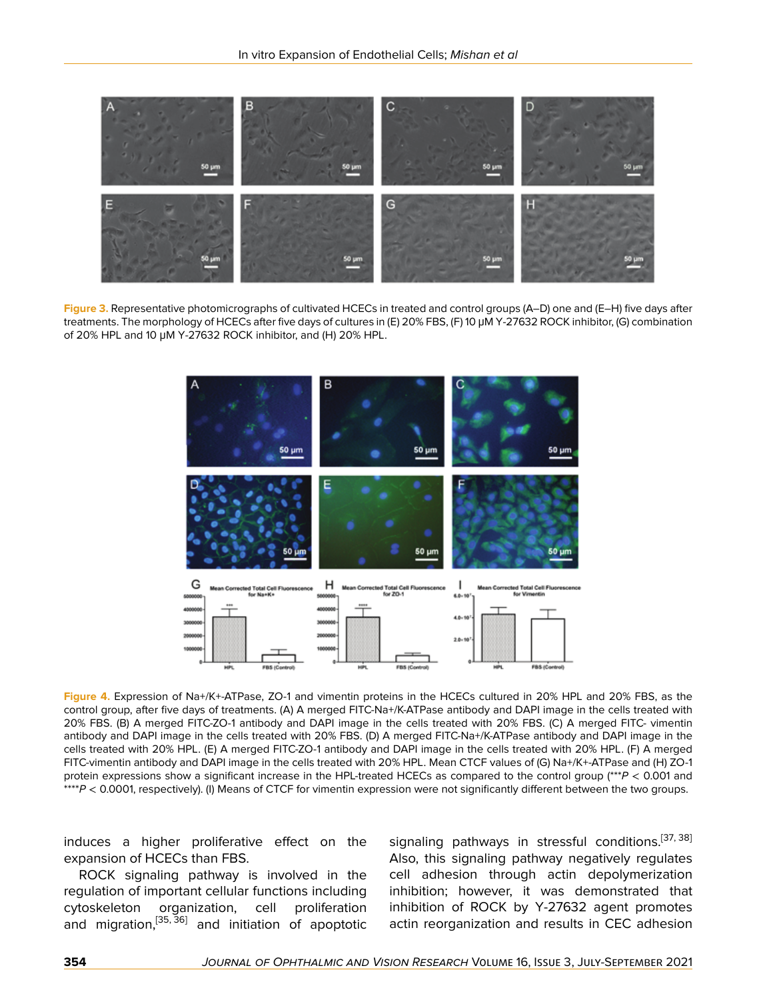

**Figure 3.** Representative photomicrographs of cultivated HCECs in treated and control groups (A–D) one and (E–H) five days after treatments. The morphology of HCECs after five days of cultures in (E) 20% FBS, (F) 10 μM Y-27632 ROCK inhibitor, (G) combination of 20% HPL and 10 μM Y-27632 ROCK inhibitor, and (H) 20% HPL.



**Figure 4.** Expression of Na+/K+-ATPase, ZO-1 and vimentin proteins in the HCECs cultured in 20% HPL and 20% FBS, as the control group, after five days of treatments. (A) A merged FITC-Na+/K-ATPase antibody and DAPI image in the cells treated with 20% FBS. (B) A merged FITC-ZO-1 antibody and DAPI image in the cells treated with 20% FBS. (C) A merged FITC- vimentin antibody and DAPI image in the cells treated with 20% FBS. (D) A merged FITC-Na+/K-ATPase antibody and DAPI image in the cells treated with 20% HPL. (E) A merged FITC-ZO-1 antibody and DAPI image in the cells treated with 20% HPL. (F) A merged FITC-vimentin antibody and DAPI image in the cells treated with 20% HPL. Mean CTCF values of (G) Na+/K+-ATPase and (H) ZO-1 protein expressions show a significant increase in the HPL-treated HCECs as compared to the control group (\*\*\**P* < 0.001 and \*\*\*\**P* < 0.0001, respectively). (I) Means of CTCF for vimentin expression were not significantly different between the two groups.

induces a higher proliferative effect on the expansion of HCECs than FBS.

ROCK signaling pathway is involved in the regulation of important cellular functions including cytoskeleton organization, cell proliferation and migration,<sup>[\[35,](#page-7-20) [36\]](#page-7-21)</sup> and initiation of apoptotic

signaling pathways in stressful conditions.<sup>[[37,](#page-7-22) [38](#page-7-23)]</sup> Also, this signaling pathway negatively regulates cell adhesion through actin depolymerization inhibition; however, it was demonstrated that inhibition of ROCK by Y-27632 agent promotes actin reorganization and results in CEC adhesion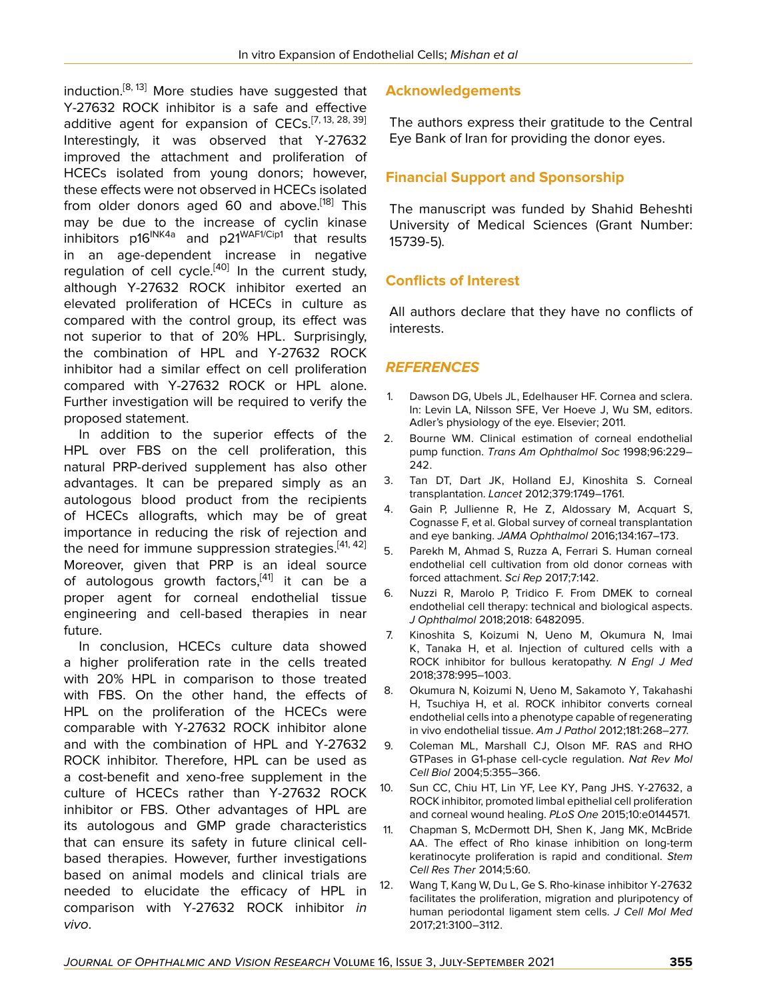induction.<sup>[\[8,](#page-6-7) [13](#page-7-0)]</sup> More studies have suggested that Y-27632 ROCK inhibitor is a safe and effective additive agent for expansion of CECs.<sup>[\[7](#page-6-6), [13](#page-7-0), [28,](#page-7-13) [39](#page-7-24)]</sup> Interestingly, it was observed that Y-27632 improved the attachment and proliferation of HCECs isolated from young donors; however, these effects were not observed in HCECs isolated from older donors aged 60 and above.<sup>[\[18](#page-7-5)]</sup> This may be due to the increase of cyclin kinase inhibitors  $p16^{INK4a}$  and  $p21^{WAF1/Cip1}$  that results in an age-dependent increase in negative regulation of cell cycle.<sup>[[40\]](#page-7-25)</sup> In the current study, although Y-27632 ROCK inhibitor exerted an elevated proliferation of HCECs in culture as compared with the control group, its effect was not superior to that of 20% HPL. Surprisingly, the combination of HPL and Y-27632 ROCK inhibitor had a similar effect on cell proliferation compared with Y-27632 ROCK or HPL alone. Further investigation will be required to verify the proposed statement.

In addition to the superior effects of the HPL over FBS on the cell proliferation, this natural PRP-derived supplement has also other advantages. It can be prepared simply as an autologous blood product from the recipients of HCECs allografts, which may be of great importance in reducing the risk of rejection and the need for immune suppression strategies.<sup>[[41,](#page-7-26) [42](#page-7-27)]</sup> Moreover, given that PRP is an ideal source of autologous growth factors, <a>[[41](#page-7-26)]</a> it can be a proper agent for corneal endothelial tissue engineering and cell-based therapies in near future.

In conclusion, HCECs culture data showed a higher proliferation rate in the cells treated with 20% HPL in comparison to those treated with FBS. On the other hand, the effects of HPL on the proliferation of the HCECs were comparable with Y-27632 ROCK inhibitor alone and with the combination of HPL and Y-27632 ROCK inhibitor. Therefore, HPL can be used as a cost-benefit and xeno-free supplement in the culture of HCECs rather than Y-27632 ROCK inhibitor or FBS. Other advantages of HPL are its autologous and GMP grade characteristics that can ensure its safety in future clinical cellbased therapies. However, further investigations based on animal models and clinical trials are needed to elucidate the efficacy of HPL in comparison with Y-27632 ROCK inhibitor *in vivo*.

### **Acknowledgements**

The authors express their gratitude to the Central Eye Bank of Iran for providing the donor eyes.

### **Financial Support and Sponsorship**

The manuscript was funded by Shahid Beheshti University of Medical Sciences (Grant Number: 15739-5).

### **Conflicts of Interest**

All authors declare that they have no conflicts of interests.

### *REFERENCES*

- <span id="page-6-0"></span>1. Dawson DG, Ubels JL, Edelhauser HF. Cornea and sclera. In: Levin LA, Nilsson SFE, Ver Hoeve J, Wu SM, editors. Adler's physiology of the eye. Elsevier; 2011.
- <span id="page-6-1"></span>2. Bourne WM. Clinical estimation of corneal endothelial pump function. *Trans Am Ophthalmol Soc* 1998;96:229– 242.
- <span id="page-6-2"></span>3. Tan DT, Dart JK, Holland EJ, Kinoshita S. Corneal transplantation. *Lancet* 2012;379:1749–1761.
- <span id="page-6-3"></span>4. Gain P, Jullienne R, He Z, Aldossary M, Acquart S, Cognasse F, et al. Global survey of corneal transplantation and eye banking. *JAMA Ophthalmol* 2016;134:167–173.
- <span id="page-6-4"></span>5. Parekh M, Ahmad S, Ruzza A, Ferrari S. Human corneal endothelial cell cultivation from old donor corneas with forced attachment. *Sci Rep* 2017;7:142.
- <span id="page-6-5"></span>6. Nuzzi R, Marolo P, Tridico F. From DMEK to corneal endothelial cell therapy: technical and biological aspects. *J Ophthalmol* 2018;2018: 6482095.
- <span id="page-6-6"></span>7. Kinoshita S, Koizumi N, Ueno M, Okumura N, Imai K, Tanaka H, et al. Injection of cultured cells with a ROCK inhibitor for bullous keratopathy. *N Engl J Med* 2018;378:995–1003.
- <span id="page-6-7"></span>8. Okumura N, Koizumi N, Ueno M, Sakamoto Y, Takahashi H, Tsuchiya H, et al. ROCK inhibitor converts corneal endothelial cells into a phenotype capable of regenerating in vivo endothelial tissue. *Am J Pathol* 2012;181:268–277.
- <span id="page-6-8"></span>9. Coleman ML, Marshall CJ, Olson MF. RAS and RHO GTPases in G1-phase cell-cycle regulation. *Nat Rev Mol Cell Biol* 2004;5:355–366.
- <span id="page-6-9"></span>10. Sun CC, Chiu HT, Lin YF, Lee KY, Pang JHS. Y-27632, a ROCK inhibitor, promoted limbal epithelial cell proliferation and corneal wound healing. *PLoS One* 2015;10:e0144571.
- 11. Chapman S, McDermott DH, Shen K, Jang MK, McBride AA. The effect of Rho kinase inhibition on long-term keratinocyte proliferation is rapid and conditional. *Stem Cell Res Ther* 2014;5:60.
- <span id="page-6-10"></span>12. Wang T, Kang W, Du L, Ge S. Rho-kinase inhibitor Y-27632 facilitates the proliferation, migration and pluripotency of human periodontal ligament stem cells. *J Cell Mol Med* 2017;21:3100–3112.